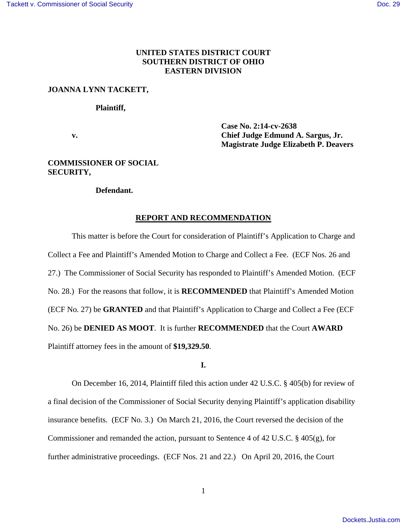## **UNITED STATES DISTRICT COURT SOUTHERN DISTRICT OF OHIO EASTERN DIVISION**

## **JOANNA LYNN TACKETT,**

#### **Plaintiff,**

 **Case No. 2:14-cv-2638 v. Chief Judge Edmund A. Sargus, Jr. Magistrate Judge Elizabeth P. Deavers** 

## **COMMISSIONER OF SOCIAL SECURITY,**

## **Defendant.**

#### **REPORT AND RECOMMENDATION**

 This matter is before the Court for consideration of Plaintiff's Application to Charge and Collect a Fee and Plaintiff's Amended Motion to Charge and Collect a Fee. (ECF Nos. 26 and 27.)The Commissioner of Social Security has responded to Plaintiff's Amended Motion. (ECF No. 28.) For the reasons that follow, it is **RECOMMENDED** that Plaintiff's Amended Motion (ECF No. 27) be **GRANTED** and that Plaintiff's Application to Charge and Collect a Fee (ECF No. 26) be **DENIED AS MOOT**. It is further **RECOMMENDED** that the Court **AWARD** Plaintiff attorney fees in the amount of **\$19,329.50**.

#### **I.**

 On December 16, 2014, Plaintiff filed this action under 42 U.S.C. § 405(b) for review of a final decision of the Commissioner of Social Security denying Plaintiff's application disability insurance benefits. (ECF No. 3.) On March 21, 2016, the Court reversed the decision of the Commissioner and remanded the action, pursuant to Sentence 4 of 42 U.S.C. § 405(g), for further administrative proceedings. (ECF Nos. 21 and 22.) On April 20, 2016, the Court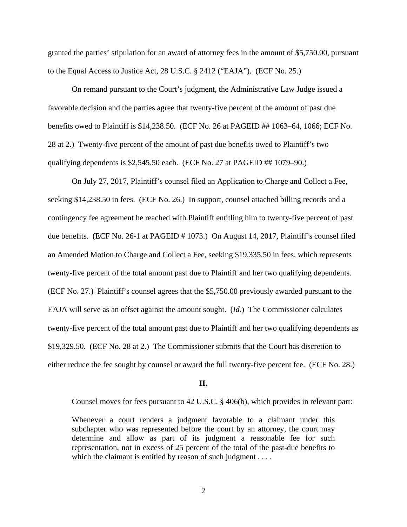granted the parties' stipulation for an award of attorney fees in the amount of \$5,750.00, pursuant to the Equal Access to Justice Act, 28 U.S.C. § 2412 ("EAJA"). (ECF No. 25.)

On remand pursuant to the Court's judgment, the Administrative Law Judge issued a favorable decision and the parties agree that twenty-five percent of the amount of past due benefits owed to Plaintiff is \$14,238.50. (ECF No. 26 at PAGEID ## 1063–64, 1066; ECF No. 28 at 2.) Twenty-five percent of the amount of past due benefits owed to Plaintiff's two qualifying dependents is \$2,545.50 each. (ECF No. 27 at PAGEID ## 1079–90.)

On July 27, 2017, Plaintiff's counsel filed an Application to Charge and Collect a Fee, seeking \$14,238.50 in fees. (ECF No. 26.) In support, counsel attached billing records and a contingency fee agreement he reached with Plaintiff entitling him to twenty-five percent of past due benefits. (ECF No. 26-1 at PAGEID # 1073.) On August 14, 2017, Plaintiff's counsel filed an Amended Motion to Charge and Collect a Fee, seeking \$19,335.50 in fees, which represents twenty-five percent of the total amount past due to Plaintiff and her two qualifying dependents. (ECF No. 27.) Plaintiff's counsel agrees that the \$5,750.00 previously awarded pursuant to the EAJA will serve as an offset against the amount sought. (*Id*.) The Commissioner calculates twenty-five percent of the total amount past due to Plaintiff and her two qualifying dependents as \$19,329.50. (ECF No. 28 at 2.) The Commissioner submits that the Court has discretion to either reduce the fee sought by counsel or award the full twenty-five percent fee. (ECF No. 28.)

#### **II.**

Counsel moves for fees pursuant to 42 U.S.C. § 406(b), which provides in relevant part:

Whenever a court renders a judgment favorable to a claimant under this subchapter who was represented before the court by an attorney, the court may determine and allow as part of its judgment a reasonable fee for such representation, not in excess of 25 percent of the total of the past-due benefits to which the claimant is entitled by reason of such judgment . . . .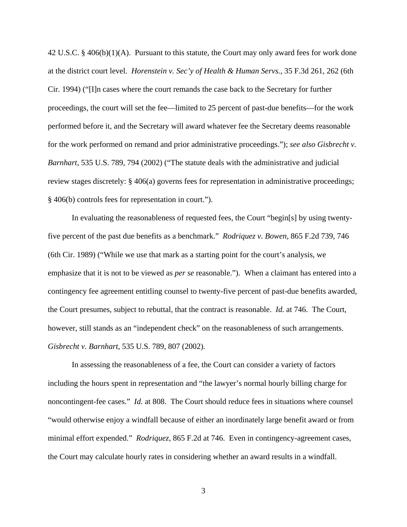42 U.S.C. § 406(b)(1)(A). Pursuant to this statute, the Court may only award fees for work done at the district court level. *Horenstein v. Sec'y of Health & Human Servs.*, 35 F.3d 261, 262 (6th Cir. 1994) ("[I]n cases where the court remands the case back to the Secretary for further proceedings, the court will set the fee—limited to 25 percent of past-due benefits—for the work performed before it, and the Secretary will award whatever fee the Secretary deems reasonable for the work performed on remand and prior administrative proceedings."); *see also Gisbrecht v. Barnhart*, 535 U.S. 789, 794 (2002) ("The statute deals with the administrative and judicial review stages discretely: § 406(a) governs fees for representation in administrative proceedings; § 406(b) controls fees for representation in court.").

 In evaluating the reasonableness of requested fees, the Court "begin[s] by using twentyfive percent of the past due benefits as a benchmark." *Rodriquez v. Bowen*, 865 F.2d 739, 746 (6th Cir. 1989) ("While we use that mark as a starting point for the court's analysis, we emphasize that it is not to be viewed as *per se* reasonable."). When a claimant has entered into a contingency fee agreement entitling counsel to twenty-five percent of past-due benefits awarded, the Court presumes, subject to rebuttal, that the contract is reasonable. *Id.* at 746. The Court, however, still stands as an "independent check" on the reasonableness of such arrangements. *Gisbrecht v. Barnhart*, 535 U.S. 789, 807 (2002).

 In assessing the reasonableness of a fee, the Court can consider a variety of factors including the hours spent in representation and "the lawyer's normal hourly billing charge for noncontingent-fee cases." *Id.* at 808. The Court should reduce fees in situations where counsel "would otherwise enjoy a windfall because of either an inordinately large benefit award or from minimal effort expended." *Rodriquez*, 865 F.2d at 746. Even in contingency-agreement cases, the Court may calculate hourly rates in considering whether an award results in a windfall.

3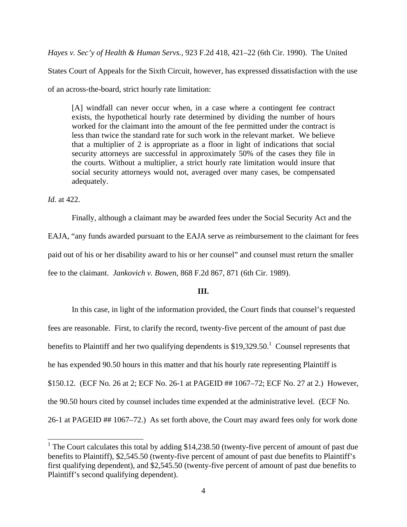*Hayes v. Sec'y of Health & Human Servs.*, 923 F.2d 418, 421–22 (6th Cir. 1990). The United

States Court of Appeals for the Sixth Circuit, however, has expressed dissatisfaction with the use of an across-the-board, strict hourly rate limitation:

[A] windfall can never occur when, in a case where a contingent fee contract exists, the hypothetical hourly rate determined by dividing the number of hours worked for the claimant into the amount of the fee permitted under the contract is less than twice the standard rate for such work in the relevant market. We believe that a multiplier of 2 is appropriate as a floor in light of indications that social security attorneys are successful in approximately 50% of the cases they file in the courts. Without a multiplier, a strict hourly rate limitation would insure that social security attorneys would not, averaged over many cases, be compensated adequately.

*Id.* at 422.

 $\overline{a}$ 

 Finally, although a claimant may be awarded fees under the Social Security Act and the EAJA, "any funds awarded pursuant to the EAJA serve as reimbursement to the claimant for fees paid out of his or her disability award to his or her counsel" and counsel must return the smaller fee to the claimant. *Jankovich v. Bowen*, 868 F.2d 867, 871 (6th Cir. 1989).

## **III.**

 In this case, in light of the information provided, the Court finds that counsel's requested fees are reasonable. First, to clarify the record, twenty-five percent of the amount of past due benefits to Plaintiff and her two qualifying dependents is \$19,329.50.<sup>1</sup> Counsel represents that he has expended 90.50 hours in this matter and that his hourly rate representing Plaintiff is \$150.12. (ECF No. 26 at 2; ECF No. 26-1 at PAGEID ## 1067–72; ECF No. 27 at 2.) However, the 90.50 hours cited by counsel includes time expended at the administrative level. (ECF No. 26-1 at PAGEID ## 1067–72.) As set forth above, the Court may award fees only for work done

<sup>&</sup>lt;sup>1</sup> The Court calculates this total by adding \$14,238.50 (twenty-five percent of amount of past due benefits to Plaintiff), \$2,545.50 (twenty-five percent of amount of past due benefits to Plaintiff's first qualifying dependent), and \$2,545.50 (twenty-five percent of amount of past due benefits to Plaintiff's second qualifying dependent).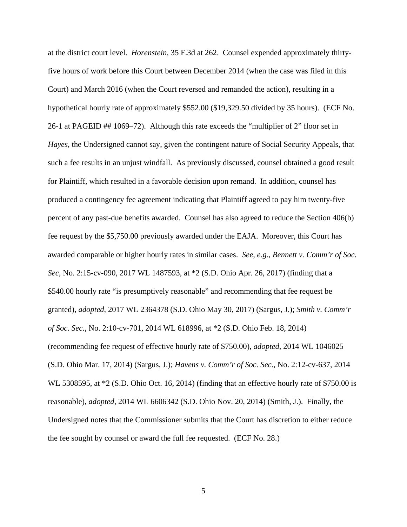at the district court level. *Horenstein*, 35 F.3d at 262. Counsel expended approximately thirtyfive hours of work before this Court between December 2014 (when the case was filed in this Court) and March 2016 (when the Court reversed and remanded the action), resulting in a hypothetical hourly rate of approximately \$552.00 (\$19,329.50 divided by 35 hours). (ECF No. 26-1 at PAGEID ## 1069–72). Although this rate exceeds the "multiplier of 2" floor set in *Hayes*, the Undersigned cannot say, given the contingent nature of Social Security Appeals, that such a fee results in an unjust windfall. As previously discussed, counsel obtained a good result for Plaintiff, which resulted in a favorable decision upon remand. In addition, counsel has produced a contingency fee agreement indicating that Plaintiff agreed to pay him twenty-five percent of any past-due benefits awarded. Counsel has also agreed to reduce the Section 406(b) fee request by the \$5,750.00 previously awarded under the EAJA. Moreover, this Court has awarded comparable or higher hourly rates in similar cases. *See*, *e.g.*, *Bennett v. Comm'r of Soc. Sec*, No. 2:15-cv-090, 2017 WL 1487593, at \*2 (S.D. Ohio Apr. 26, 2017) (finding that a \$540.00 hourly rate "is presumptively reasonable" and recommending that fee request be granted), *adopted*, 2017 WL 2364378 (S.D. Ohio May 30, 2017) (Sargus, J.); *Smith v. Comm'r of Soc. Sec*., No. 2:10-cv-701, 2014 WL 618996, at \*2 (S.D. Ohio Feb. 18, 2014) (recommending fee request of effective hourly rate of \$750.00), *adopted*, 2014 WL 1046025 (S.D. Ohio Mar. 17, 2014) (Sargus, J.); *Havens v. Comm'r of Soc. Sec*., No. 2:12-cv-637, 2014 WL 5308595, at \*2 (S.D. Ohio Oct. 16, 2014) (finding that an effective hourly rate of \$750.00 is reasonable), *adopted*, 2014 WL 6606342 (S.D. Ohio Nov. 20, 2014) (Smith, J.). Finally, the Undersigned notes that the Commissioner submits that the Court has discretion to either reduce the fee sought by counsel or award the full fee requested. (ECF No. 28.)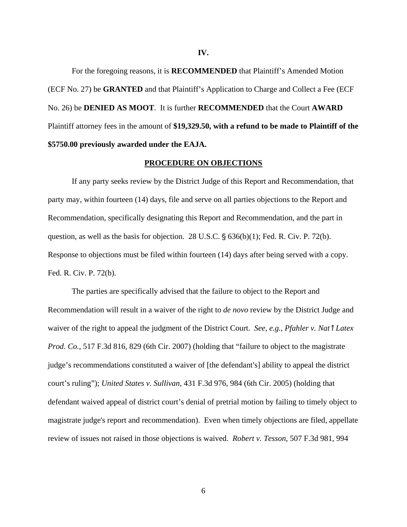For the foregoing reasons, it is **RECOMMENDED** that Plaintiff's Amended Motion (ECF No. 27) be **GRANTED** and that Plaintiff's Application to Charge and Collect a Fee (ECF No. 26) be **DENIED AS MOOT**. It is further **RECOMMENDED** that the Court **AWARD** Plaintiff attorney fees in the amount of **\$19,329.50, with a refund to be made to Plaintiff of the \$5750.00 previously awarded under the EAJA.**

#### **PROCEDURE ON OBJECTIONS**

If any party seeks review by the District Judge of this Report and Recommendation, that party may, within fourteen (14) days, file and serve on all parties objections to the Report and Recommendation, specifically designating this Report and Recommendation, and the part in question, as well as the basis for objection. 28 U.S.C.  $\S$  636(b)(1); Fed. R. Civ. P. 72(b). Response to objections must be filed within fourteen (14) days after being served with a copy. Fed. R. Civ. P. 72(b).

The parties are specifically advised that the failure to object to the Report and Recommendation will result in a waiver of the right to *de novo* review by the District Judge and waiver of the right to appeal the judgment of the District Court. *See, e.g., Pfahler v. Nat'l Latex Prod. Co.*, 517 F.3d 816*,* 829 (6th Cir. 2007) (holding that "failure to object to the magistrate judge's recommendations constituted a waiver of [the defendant's] ability to appeal the district court's ruling"); *United States v. Sullivan*, 431 F.3d 976, 984 (6th Cir. 2005) (holding that defendant waived appeal of district court's denial of pretrial motion by failing to timely object to magistrate judge's report and recommendation). Even when timely objections are filed, appellate review of issues not raised in those objections is waived. *Robert v. Tesson*, 507 F.3d 981, 994

**IV.**